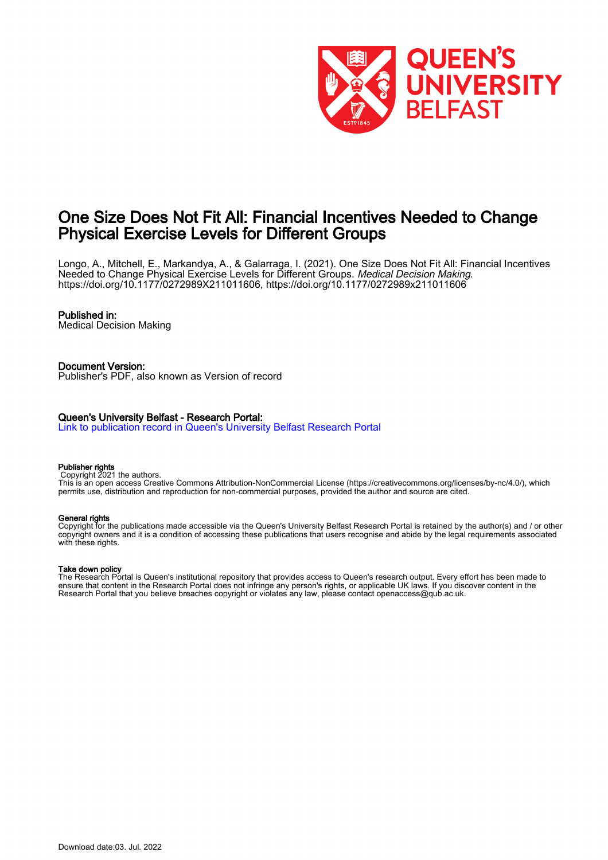

## One Size Does Not Fit All: Financial Incentives Needed to Change Physical Exercise Levels for Different Groups

Longo, A., Mitchell, E., Markandya, A., & Galarraga, I. (2021). One Size Does Not Fit All: Financial Incentives Needed to Change Physical Exercise Levels for Different Groups. Medical Decision Making. [https://doi.org/10.1177/0272989X211011606,](https://doi.org/10.1177/0272989X211011606)<https://doi.org/10.1177/0272989x211011606>

#### Published in:

Medical Decision Making

#### Document Version:

Publisher's PDF, also known as Version of record

#### Queen's University Belfast - Research Portal:

[Link to publication record in Queen's University Belfast Research Portal](https://pure.qub.ac.uk/en/publications/53969f96-2dd5-487f-80ae-4043354b98dd)

#### Publisher rights

Copyright 2021 the authors.

This is an open access Creative Commons Attribution-NonCommercial License (https://creativecommons.org/licenses/by-nc/4.0/), which permits use, distribution and reproduction for non-commercial purposes, provided the author and source are cited.

#### General rights

Copyright for the publications made accessible via the Queen's University Belfast Research Portal is retained by the author(s) and / or other copyright owners and it is a condition of accessing these publications that users recognise and abide by the legal requirements associated with these rights.

#### Take down policy

The Research Portal is Queen's institutional repository that provides access to Queen's research output. Every effort has been made to ensure that content in the Research Portal does not infringe any person's rights, or applicable UK laws. If you discover content in the Research Portal that you believe breaches copyright or violates any law, please contact openaccess@qub.ac.uk.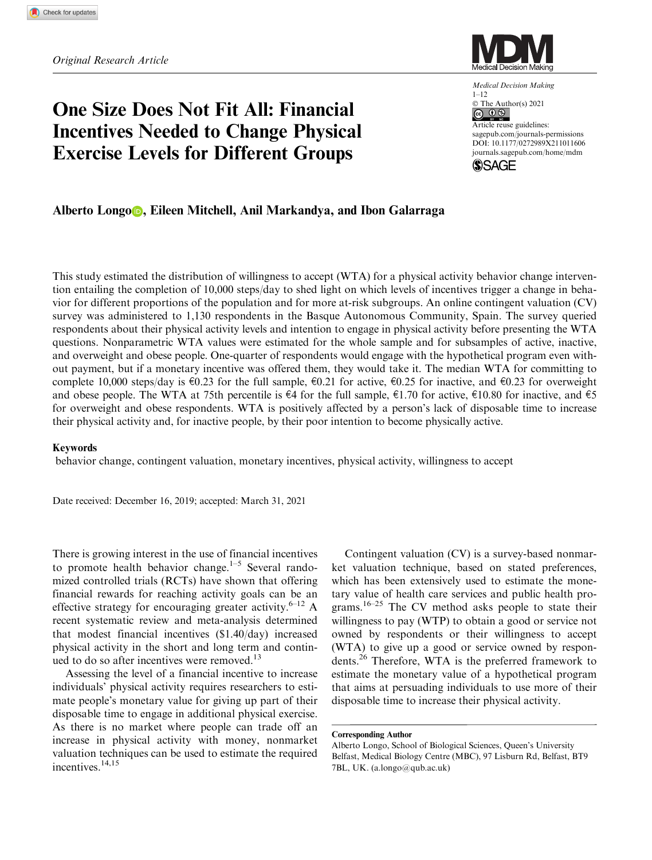# One Size Does Not Fit All: Financial Incentives Needed to Change Physical Exercise Levels for Different Groups



Medical Decision Making 1–12 © The Author(s) 2021 Article reuse guidelines: [sagepub.com/journals-permissions](us.sagepub.com/en-us/journals-permissions) [DOI: 10.1177/0272989X211011606](https://doi.dox.org/10.1177/0272989X211011606) <journals.sagepub.com/home/mdm>



## Alberto Longo **D**, Eileen Mitchell, Anil Markandya, and Ibon Galarraga

This study estimated the distribution of willingness to accept (WTA) for a physical activity behavior change intervention entailing the completion of 10,000 steps/day to shed light on which levels of incentives trigger a change in behavior for different proportions of the population and for more at-risk subgroups. An online contingent valuation (CV) survey was administered to 1,130 respondents in the Basque Autonomous Community, Spain. The survey queried respondents about their physical activity levels and intention to engage in physical activity before presenting the WTA questions. Nonparametric WTA values were estimated for the whole sample and for subsamples of active, inactive, and overweight and obese people. One-quarter of respondents would engage with the hypothetical program even without payment, but if a monetary incentive was offered them, they would take it. The median WTA for committing to complete 10,000 steps/day is  $\epsilon$ 0.23 for the full sample,  $\epsilon$ 0.21 for active,  $\epsilon$ 0.25 for inactive, and  $\epsilon$ 0.23 for overweight and obese people. The WTA at 75th percentile is  $\epsilon$ 4 for the full sample,  $\epsilon$ 1.70 for active,  $\epsilon$ 10.80 for inactive, and  $\epsilon$ 5 for overweight and obese respondents. WTA is positively affected by a person's lack of disposable time to increase their physical activity and, for inactive people, by their poor intention to become physically active.

#### Keywords

behavior change, contingent valuation, monetary incentives, physical activity, willingness to accept

Date received: December 16, 2019; accepted: March 31, 2021

There is growing interest in the use of financial incentives to promote health behavior change.<sup>1–5</sup> Several randomized controlled trials (RCTs) have shown that offering financial rewards for reaching activity goals can be an effective strategy for encouraging greater activity.<sup>6–12</sup> A recent systematic review and meta-analysis determined that modest financial incentives (\$1.40/day) increased physical activity in the short and long term and continued to do so after incentives were removed.<sup>13</sup>

Assessing the level of a financial incentive to increase individuals' physical activity requires researchers to estimate people's monetary value for giving up part of their disposable time to engage in additional physical exercise. As there is no market where people can trade off an increase in physical activity with money, nonmarket valuation techniques can be used to estimate the required incentives.<sup>14,15</sup>

Contingent valuation (CV) is a survey-based nonmarket valuation technique, based on stated preferences, which has been extensively used to estimate the monetary value of health care services and public health programs.<sup>16–25</sup> The CV method asks people to state their willingness to pay (WTP) to obtain a good or service not owned by respondents or their willingness to accept (WTA) to give up a good or service owned by respondents.26 Therefore, WTA is the preferred framework to estimate the monetary value of a hypothetical program that aims at persuading individuals to use more of their disposable time to increase their physical activity.

Corresponding Author

Alberto Longo, School of Biological Sciences, Queen's University Belfast, Medical Biology Centre (MBC), 97 Lisburn Rd, Belfast, BT9 7BL, UK. (a.longo@qub.ac.uk)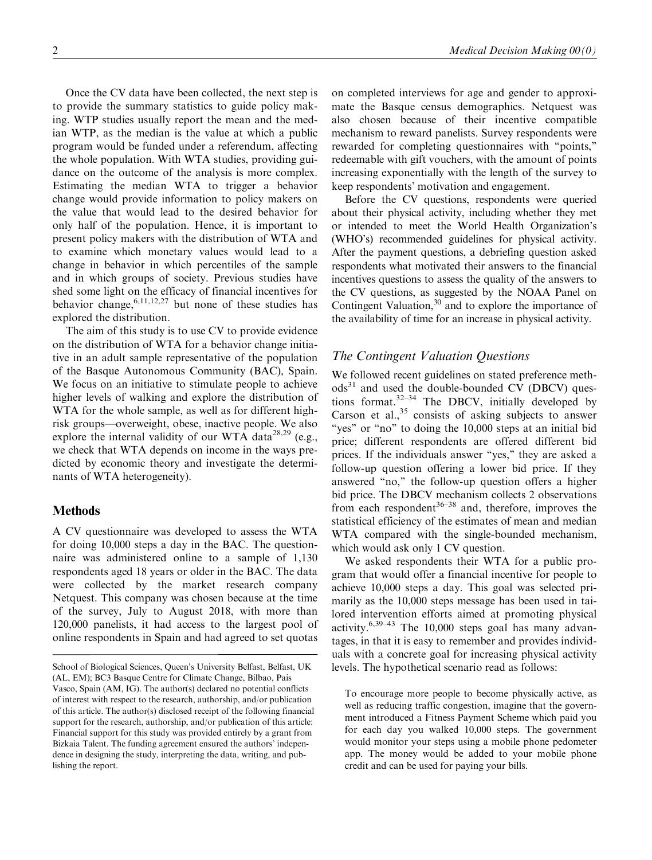Once the CV data have been collected, the next step is to provide the summary statistics to guide policy making. WTP studies usually report the mean and the median WTP, as the median is the value at which a public program would be funded under a referendum, affecting the whole population. With WTA studies, providing guidance on the outcome of the analysis is more complex. Estimating the median WTA to trigger a behavior change would provide information to policy makers on the value that would lead to the desired behavior for only half of the population. Hence, it is important to present policy makers with the distribution of WTA and to examine which monetary values would lead to a change in behavior in which percentiles of the sample and in which groups of society. Previous studies have shed some light on the efficacy of financial incentives for behavior change,  $6,11,12,27$  but none of these studies has explored the distribution.

The aim of this study is to use CV to provide evidence on the distribution of WTA for a behavior change initiative in an adult sample representative of the population of the Basque Autonomous Community (BAC), Spain. We focus on an initiative to stimulate people to achieve higher levels of walking and explore the distribution of WTA for the whole sample, as well as for different highrisk groups—overweight, obese, inactive people. We also explore the internal validity of our WTA data<sup>28,29</sup> (e.g., we check that WTA depends on income in the ways predicted by economic theory and investigate the determinants of WTA heterogeneity).

## Methods

A CV questionnaire was developed to assess the WTA for doing 10,000 steps a day in the BAC. The questionnaire was administered online to a sample of 1,130 respondents aged 18 years or older in the BAC. The data were collected by the market research company Netquest. This company was chosen because at the time of the survey, July to August 2018, with more than 120,000 panelists, it had access to the largest pool of online respondents in Spain and had agreed to set quotas

on completed interviews for age and gender to approximate the Basque census demographics. Netquest was also chosen because of their incentive compatible mechanism to reward panelists. Survey respondents were rewarded for completing questionnaires with ''points,'' redeemable with gift vouchers, with the amount of points increasing exponentially with the length of the survey to keep respondents' motivation and engagement.

Before the CV questions, respondents were queried about their physical activity, including whether they met or intended to meet the World Health Organization's (WHO's) recommended guidelines for physical activity. After the payment questions, a debriefing question asked respondents what motivated their answers to the financial incentives questions to assess the quality of the answers to the CV questions, as suggested by the NOAA Panel on Contingent Valuation,  $30$  and to explore the importance of the availability of time for an increase in physical activity.

## The Contingent Valuation Questions

We followed recent guidelines on stated preference meth- $\text{ods}^{31}$  and used the double-bounded CV (DBCV) questions format. $32-34$  The DBCV, initially developed by Carson et al., $35$  consists of asking subjects to answer "yes" or "no" to doing the 10,000 steps at an initial bid price; different respondents are offered different bid prices. If the individuals answer ''yes,'' they are asked a follow-up question offering a lower bid price. If they answered ''no,'' the follow-up question offers a higher bid price. The DBCV mechanism collects 2 observations from each respondent  $36-38$  and, therefore, improves the statistical efficiency of the estimates of mean and median WTA compared with the single-bounded mechanism, which would ask only 1 CV question.

We asked respondents their WTA for a public program that would offer a financial incentive for people to achieve 10,000 steps a day. This goal was selected primarily as the 10,000 steps message has been used in tailored intervention efforts aimed at promoting physical activity. $6,39-43$  The 10,000 steps goal has many advantages, in that it is easy to remember and provides individuals with a concrete goal for increasing physical activity levels. The hypothetical scenario read as follows:

School of Biological Sciences, Queen's University Belfast, Belfast, UK (AL, EM); BC3 Basque Centre for Climate Change, Bilbao, Pais Vasco, Spain (AM, IG). The author(s) declared no potential conflicts of interest with respect to the research, authorship, and/or publication of this article. The author(s) disclosed receipt of the following financial support for the research, authorship, and/or publication of this article: Financial support for this study was provided entirely by a grant from Bizkaia Talent. The funding agreement ensured the authors' independence in designing the study, interpreting the data, writing, and publishing the report.

To encourage more people to become physically active, as well as reducing traffic congestion, imagine that the government introduced a Fitness Payment Scheme which paid you for each day you walked 10,000 steps. The government would monitor your steps using a mobile phone pedometer app. The money would be added to your mobile phone credit and can be used for paying your bills.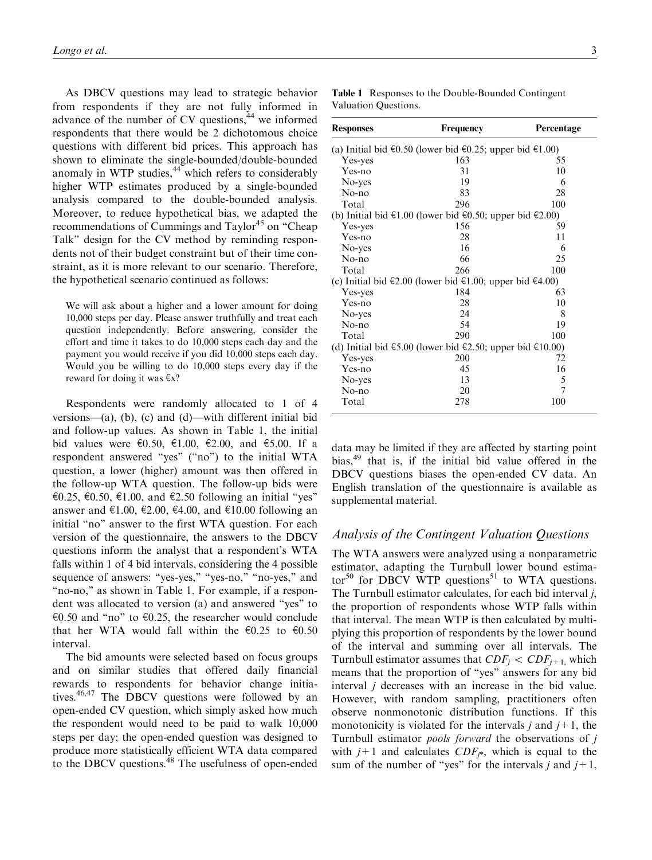As DBCV questions may lead to strategic behavior from respondents if they are not fully informed in advance of the number of CV questions,<sup>44</sup> we informed respondents that there would be 2 dichotomous choice questions with different bid prices. This approach has shown to eliminate the single-bounded/double-bounded anomaly in WTP studies, $44$  which refers to considerably higher WTP estimates produced by a single-bounded analysis compared to the double-bounded analysis. Moreover, to reduce hypothetical bias, we adapted the recommendations of Cummings and Taylor<sup>45</sup> on "Cheap Talk'' design for the CV method by reminding respondents not of their budget constraint but of their time constraint, as it is more relevant to our scenario. Therefore, the hypothetical scenario continued as follows:

We will ask about a higher and a lower amount for doing 10,000 steps per day. Please answer truthfully and treat each question independently. Before answering, consider the effort and time it takes to do 10,000 steps each day and the payment you would receive if you did 10,000 steps each day. Would you be willing to do 10,000 steps every day if the reward for doing it was  $\epsilon x$ ?

Respondents were randomly allocated to 1 of 4 versions—(a), (b), (c) and (d)—with different initial bid and follow-up values. As shown in Table 1, the initial bid values were €0.50, €1.00, €2.00, and €5.00. If a respondent answered ''yes'' (''no'') to the initial WTA question, a lower (higher) amount was then offered in the follow-up WTA question. The follow-up bids were  $\epsilon$ 0.25,  $\epsilon$ 0.50,  $\epsilon$ 1.00, and  $\epsilon$ 2.50 following an initial "yes" answer and €1.00, €2.00, €4.00, and €10.00 following an initial "no" answer to the first WTA question. For each version of the questionnaire, the answers to the DBCV questions inform the analyst that a respondent's WTA falls within 1 of 4 bid intervals, considering the 4 possible sequence of answers: "yes-yes," "yes-no," "no-yes," and "no-no," as shown in Table 1. For example, if a respondent was allocated to version (a) and answered ''yes'' to  $\epsilon$ 0.50 and "no" to  $\epsilon$ 0.25, the researcher would conclude that her WTA would fall within the  $\epsilon$ 0.25 to  $\epsilon$ 0.50 interval.

The bid amounts were selected based on focus groups and on similar studies that offered daily financial rewards to respondents for behavior change initiatives.46,47 The DBCV questions were followed by an open-ended CV question, which simply asked how much the respondent would need to be paid to walk 10,000 steps per day; the open-ended question was designed to produce more statistically efficient WTA data compared to the DBCV questions.<sup>48</sup> The usefulness of open-ended

| <b>Table 1</b> Responses to the Double-Bounded Contingent |  |
|-----------------------------------------------------------|--|
| Valuation Questions.                                      |  |

| <b>Responses</b>                                          | Frequency                                                | Percentage |  |  |  |
|-----------------------------------------------------------|----------------------------------------------------------|------------|--|--|--|
|                                                           | (a) Initial bid €0.50 (lower bid €0.25; upper bid €1.00) |            |  |  |  |
| Yes-yes                                                   | 163                                                      | 55         |  |  |  |
| Yes-no                                                    | 31                                                       | 10         |  |  |  |
| No-yes                                                    | 19                                                       | 6          |  |  |  |
| No-no                                                     | 83                                                       | 28         |  |  |  |
| Total                                                     | 296                                                      | 100        |  |  |  |
|                                                           | (b) Initial bid €1.00 (lower bid €0.50; upper bid €2.00) |            |  |  |  |
| Yes-yes                                                   | 156                                                      | 59         |  |  |  |
| Yes-no                                                    | 28                                                       | 11         |  |  |  |
| No-yes                                                    | 16                                                       | 6          |  |  |  |
| $No$ -no                                                  | 66                                                       | 25         |  |  |  |
| Total                                                     | 266                                                      | 100        |  |  |  |
|                                                           | (c) Initial bid €2.00 (lower bid €1.00; upper bid €4.00) |            |  |  |  |
| Yes-yes                                                   | 184                                                      | 63         |  |  |  |
| Yes-no                                                    | 28                                                       | 10         |  |  |  |
| No-yes                                                    | 24                                                       | 8          |  |  |  |
| $No$ -no                                                  | 54                                                       | 19         |  |  |  |
| Total                                                     | 290                                                      | 100        |  |  |  |
| (d) Initial bid €5.00 (lower bid €2.50; upper bid €10.00) |                                                          |            |  |  |  |
| Yes-yes                                                   | 200                                                      | 72         |  |  |  |
| Yes-no                                                    | 45                                                       | 16         |  |  |  |
| No-yes                                                    | 13                                                       | 5          |  |  |  |
| No-no                                                     | 20                                                       | 7          |  |  |  |
| Total                                                     | 278                                                      | 100        |  |  |  |

data may be limited if they are affected by starting point bias,49 that is, if the initial bid value offered in the DBCV questions biases the open-ended CV data. An English translation of the questionnaire is available as supplemental material.

#### Analysis of the Contingent Valuation Questions

The WTA answers were analyzed using a nonparametric estimator, adapting the Turnbull lower bound estimator<sup>50</sup> for DBCV WTP questions<sup>51</sup> to WTA questions. The Turnbull estimator calculates, for each bid interval j, the proportion of respondents whose WTP falls within that interval. The mean WTP is then calculated by multiplying this proportion of respondents by the lower bound of the interval and summing over all intervals. The Turnbull estimator assumes that  $CDF_j < CDF_{j+1}$ , which means that the proportion of ''yes'' answers for any bid interval j decreases with an increase in the bid value. However, with random sampling, practitioners often observe nonmonotonic distribution functions. If this monotonicity is violated for the intervals j and  $j+1$ , the Turnbull estimator pools forward the observations of j with  $j+1$  and calculates  $CDF_{j*}$ , which is equal to the sum of the number of "yes" for the intervals j and  $j+1$ ,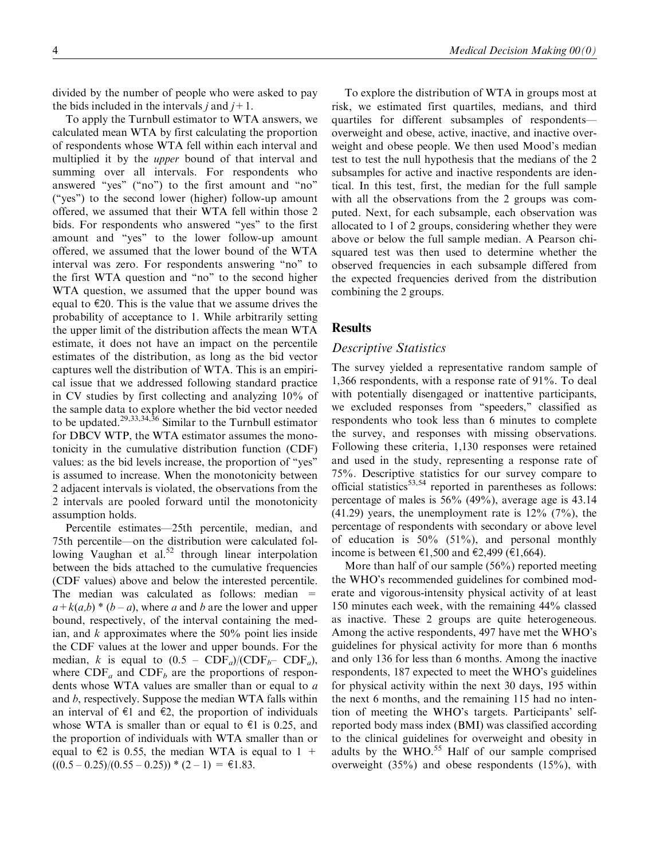divided by the number of people who were asked to pay the bids included in the intervals j and  $j+1$ .

To apply the Turnbull estimator to WTA answers, we calculated mean WTA by first calculating the proportion of respondents whose WTA fell within each interval and multiplied it by the upper bound of that interval and summing over all intervals. For respondents who answered ''yes'' (''no'') to the first amount and ''no'' (''yes'') to the second lower (higher) follow-up amount offered, we assumed that their WTA fell within those 2 bids. For respondents who answered ''yes'' to the first amount and ''yes'' to the lower follow-up amount offered, we assumed that the lower bound of the WTA interval was zero. For respondents answering ''no'' to the first WTA question and ''no'' to the second higher WTA question, we assumed that the upper bound was equal to  $\epsilon$ 20. This is the value that we assume drives the probability of acceptance to 1. While arbitrarily setting the upper limit of the distribution affects the mean WTA estimate, it does not have an impact on the percentile estimates of the distribution, as long as the bid vector captures well the distribution of WTA. This is an empirical issue that we addressed following standard practice in CV studies by first collecting and analyzing 10% of the sample data to explore whether the bid vector needed to be updated.<sup>29,33,34,36</sup> Similar to the Turnbull estimator for DBCV WTP, the WTA estimator assumes the monotonicity in the cumulative distribution function (CDF) values: as the bid levels increase, the proportion of ''yes'' is assumed to increase. When the monotonicity between 2 adjacent intervals is violated, the observations from the 2 intervals are pooled forward until the monotonicity assumption holds.

Percentile estimates—25th percentile, median, and 75th percentile—on the distribution were calculated following Vaughan et al. $52$  through linear interpolation between the bids attached to the cumulative frequencies (CDF values) above and below the interested percentile. The median was calculated as follows: median =  $a+k(a,b)*(b-a)$ , where a and b are the lower and upper bound, respectively, of the interval containing the median, and  $k$  approximates where the 50% point lies inside the CDF values at the lower and upper bounds. For the median, k is equal to  $(0.5 - CDF_a)/(\text{CDF}_b - CDF_a)$ , where  $CDF_a$  and  $CDF_b$  are the proportions of respondents whose WTA values are smaller than or equal to a and b, respectively. Suppose the median WTA falls within an interval of  $\epsilon$ 1 and  $\epsilon$ 2, the proportion of individuals whose WTA is smaller than or equal to  $\epsilon$ 1 is 0.25, and the proportion of individuals with WTA smaller than or equal to  $\epsilon$ 2 is 0.55, the median WTA is equal to 1 +  $((0.5 - 0.25)/(0.55 - 0.25)) * (2 - 1) = \text{\textsterling}1.83.$ 

To explore the distribution of WTA in groups most at risk, we estimated first quartiles, medians, and third quartiles for different subsamples of respondents overweight and obese, active, inactive, and inactive overweight and obese people. We then used Mood's median test to test the null hypothesis that the medians of the 2 subsamples for active and inactive respondents are identical. In this test, first, the median for the full sample with all the observations from the 2 groups was computed. Next, for each subsample, each observation was allocated to 1 of 2 groups, considering whether they were above or below the full sample median. A Pearson chisquared test was then used to determine whether the observed frequencies in each subsample differed from the expected frequencies derived from the distribution combining the 2 groups.

#### **Results**

#### Descriptive Statistics

The survey yielded a representative random sample of 1,366 respondents, with a response rate of 91%. To deal with potentially disengaged or inattentive participants, we excluded responses from ''speeders,'' classified as respondents who took less than 6 minutes to complete the survey, and responses with missing observations. Following these criteria, 1,130 responses were retained and used in the study, representing a response rate of 75%. Descriptive statistics for our survey compare to official statistics $53,54$  reported in parentheses as follows: percentage of males is 56% (49%), average age is 43.14  $(41.29)$  years, the unemployment rate is  $12\%$   $(7\%)$ , the percentage of respondents with secondary or above level of education is  $50\%$  (51%), and personal monthly income is between €1,500 and €2,499 (€1,664).

More than half of our sample (56%) reported meeting the WHO's recommended guidelines for combined moderate and vigorous-intensity physical activity of at least 150 minutes each week, with the remaining 44% classed as inactive. These 2 groups are quite heterogeneous. Among the active respondents, 497 have met the WHO's guidelines for physical activity for more than 6 months and only 136 for less than 6 months. Among the inactive respondents, 187 expected to meet the WHO's guidelines for physical activity within the next 30 days, 195 within the next 6 months, and the remaining 115 had no intention of meeting the WHO's targets. Participants' selfreported body mass index (BMI) was classified according to the clinical guidelines for overweight and obesity in adults by the WHO.<sup>55</sup> Half of our sample comprised overweight (35%) and obese respondents (15%), with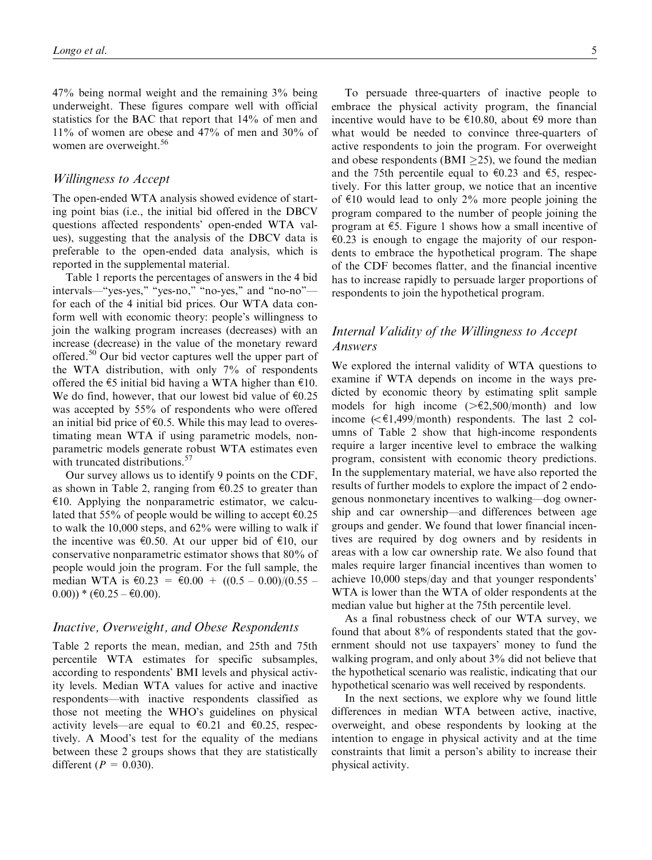47% being normal weight and the remaining 3% being underweight. These figures compare well with official statistics for the BAC that report that 14% of men and 11% of women are obese and 47% of men and 30% of women are overweight.<sup>56</sup>

#### Willingness to Accept

The open-ended WTA analysis showed evidence of starting point bias (i.e., the initial bid offered in the DBCV questions affected respondents' open-ended WTA values), suggesting that the analysis of the DBCV data is preferable to the open-ended data analysis, which is reported in the supplemental material.

Table 1 reports the percentages of answers in the 4 bid intervals—"yes-yes," "yes-no," "no-yes," and "no-no" for each of the 4 initial bid prices. Our WTA data conform well with economic theory: people's willingness to join the walking program increases (decreases) with an increase (decrease) in the value of the monetary reward offered.<sup>50</sup> Our bid vector captures well the upper part of the WTA distribution, with only 7% of respondents offered the  $\epsilon$ 5 initial bid having a WTA higher than  $\epsilon$ 10. We do find, however, that our lowest bid value of  $\epsilon 0.25$ was accepted by 55% of respondents who were offered an initial bid price of  $\epsilon$ 0.5. While this may lead to overestimating mean WTA if using parametric models, nonparametric models generate robust WTA estimates even with truncated distributions.<sup>57</sup>

Our survey allows us to identify 9 points on the CDF, as shown in Table 2, ranging from  $\epsilon$ 0.25 to greater than  $\epsilon$ 10. Applying the nonparametric estimator, we calculated that 55% of people would be willing to accept  $\epsilon$ 0.25 to walk the 10,000 steps, and 62% were willing to walk if the incentive was  $\epsilon$ 0.50. At our upper bid of  $\epsilon$ 10, our conservative nonparametric estimator shows that 80% of people would join the program. For the full sample, the median WTA is  $\text{\textsterling}0.23 = \text{\textsterling}0.00 + ((0.5 - 0.00)/(0.55 (0.00)$  \*  $(\text{\textsterling}0.25 - \text{\textsterling}0.00)$ .

#### Inactive, Overweight, and Obese Respondents

Table 2 reports the mean, median, and 25th and 75th percentile WTA estimates for specific subsamples, according to respondents' BMI levels and physical activity levels. Median WTA values for active and inactive respondents—with inactive respondents classified as those not meeting the WHO's guidelines on physical activity levels—are equal to  $\epsilon$ 0.21 and  $\epsilon$ 0.25, respectively. A Mood's test for the equality of the medians between these 2 groups shows that they are statistically different ( $P = 0.030$ ).

To persuade three-quarters of inactive people to embrace the physical activity program, the financial incentive would have to be  $\epsilon$ 10.80, about  $\epsilon$ 9 more than what would be needed to convince three-quarters of active respondents to join the program. For overweight and obese respondents (BMI  $\geq$ 25), we found the median and the 75th percentile equal to  $\epsilon$ 0.23 and  $\epsilon$ 5, respectively. For this latter group, we notice that an incentive of  $\epsilon$ 10 would lead to only 2% more people joining the program compared to the number of people joining the program at  $\epsilon$ 5. Figure 1 shows how a small incentive of  $\epsilon$ 0.23 is enough to engage the majority of our respondents to embrace the hypothetical program. The shape of the CDF becomes flatter, and the financial incentive has to increase rapidly to persuade larger proportions of respondents to join the hypothetical program.

## Internal Validity of the Willingness to Accept Answers

We explored the internal validity of WTA questions to examine if WTA depends on income in the ways predicted by economic theory by estimating split sample models for high income  $(>\epsilon 2,500/\text{month})$  and low income  $( $\in 1,499$ /month) respondents. The last 2 col$ umns of Table 2 show that high-income respondents require a larger incentive level to embrace the walking program, consistent with economic theory predictions. In the supplementary material, we have also reported the results of further models to explore the impact of 2 endogenous nonmonetary incentives to walking—dog ownership and car ownership—and differences between age groups and gender. We found that lower financial incentives are required by dog owners and by residents in areas with a low car ownership rate. We also found that males require larger financial incentives than women to achieve 10,000 steps/day and that younger respondents' WTA is lower than the WTA of older respondents at the median value but higher at the 75th percentile level.

As a final robustness check of our WTA survey, we found that about 8% of respondents stated that the government should not use taxpayers' money to fund the walking program, and only about 3% did not believe that the hypothetical scenario was realistic, indicating that our hypothetical scenario was well received by respondents.

In the next sections, we explore why we found little differences in median WTA between active, inactive, overweight, and obese respondents by looking at the intention to engage in physical activity and at the time constraints that limit a person's ability to increase their physical activity.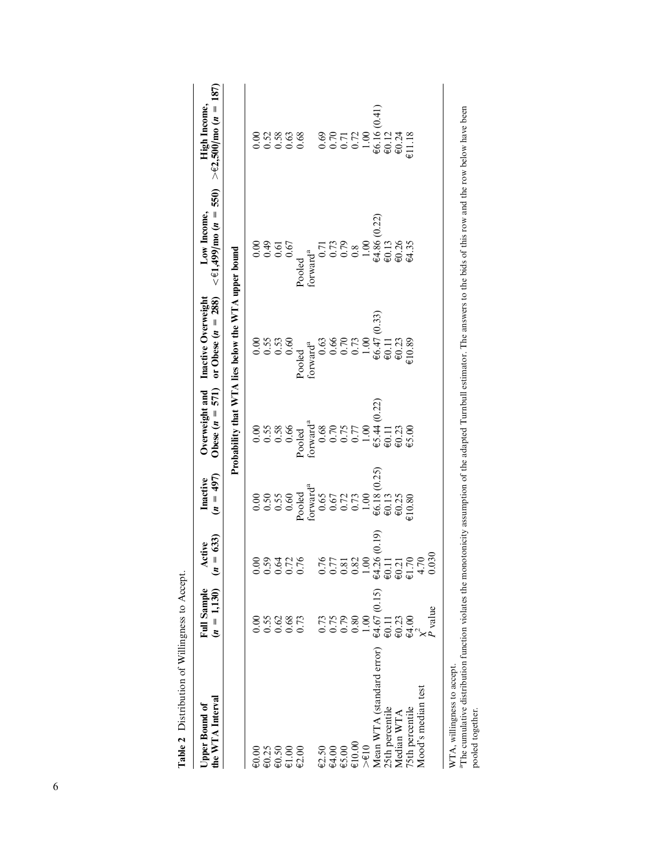| the WTA Interval<br>Upper Bound of                          | Full Sample<br>$(n = 1,130)$ | $= 633$<br>Active<br>$\tilde{z}$                                       | $(n = 497)$<br>Inactive                                                                                | Obese $(n = 571)$                  | or Obese $(n = 288)$<br>Overweight and Inactive Overweight                                          | $\lt$ $\in$ 1,499/mo ( <i>n</i> = 550)<br>Low Income,                       | 187)<br>> €2,500/mo ( <i>n</i> =<br>High Income,                                  |
|-------------------------------------------------------------|------------------------------|------------------------------------------------------------------------|--------------------------------------------------------------------------------------------------------|------------------------------------|-----------------------------------------------------------------------------------------------------|-----------------------------------------------------------------------------|-----------------------------------------------------------------------------------|
|                                                             |                              |                                                                        |                                                                                                        |                                    | Probability that WTA lies below the WTA upper bound                                                 |                                                                             |                                                                                   |
| $\epsilon$ 0.00                                             | 0.00                         | 0.00                                                                   |                                                                                                        |                                    |                                                                                                     | 0.00                                                                        | 0.00                                                                              |
|                                                             |                              |                                                                        |                                                                                                        |                                    |                                                                                                     |                                                                             |                                                                                   |
| $\frac{60.25}{60.50}$                                       |                              | 33226<br>23526                                                         |                                                                                                        | 0.558<br>0.588<br>0.00             | $0.55$<br>$0.53$                                                                                    | $0.49$<br>0.61                                                              | 3888                                                                              |
| $\mathbin{\mathsf{\mathsf{E}}1.00}$                         |                              |                                                                        |                                                                                                        |                                    | 0.60                                                                                                | 0.67                                                                        |                                                                                   |
| $\textcolor{red}{\mathbf{\textcolor{blue}{\epsilon 2.00}}}$ |                              |                                                                        | Pooled                                                                                                 | Pooled                             | Pooled                                                                                              | Pooled                                                                      |                                                                                   |
|                                                             |                              |                                                                        | forward <sup>a</sup>                                                                                   | forward <sup>a</sup>               | forward <sup>a</sup>                                                                                | forward <sup>a</sup>                                                        |                                                                                   |
| E2.50                                                       |                              |                                                                        |                                                                                                        |                                    |                                                                                                     |                                                                             |                                                                                   |
| $\textup{ }64.00$                                           |                              |                                                                        |                                                                                                        |                                    |                                                                                                     |                                                                             |                                                                                   |
| €5.00                                                       |                              |                                                                        |                                                                                                        |                                    |                                                                                                     |                                                                             |                                                                                   |
| $\textnormal{\textbf{0.00}}$                                | 0.758800<br>0.00001          | $0.77820$<br>$0.00000$<br>$0.0000$                                     |                                                                                                        | 88<br>0.75<br>0.75<br>0.00<br>1.00 |                                                                                                     |                                                                             |                                                                                   |
| $>\epsilon$ 10                                              |                              |                                                                        |                                                                                                        |                                    |                                                                                                     |                                                                             |                                                                                   |
| Mean WTA (standard error)                                   | $€4.67(0.15)$<br>€0.11       | $64.26(0.19)$<br>$60.11$                                               | 0.65<br>0.67<br>0.72<br>0.73<br>0.73<br>$+0.00$<br>$+0.00$<br>$+0.13$<br>$+0.25$<br>$+0.25$<br>$+0.25$ | $65.44(0.22)$<br>$60.11$           | 0.63<br>0.66<br>0.71<br>0.73<br>0.73<br>$+6.47$<br>0.33<br>$+0.23$<br>$+0.23$<br>$+0.23$<br>$+0.23$ | 0.71<br>0.73<br>0.79<br>0.8<br>0.8<br>4.86 (0.22)<br>$\qquad 0.00$<br>40.13 | 0.69<br>0.70<br>0.71<br>0.72<br>1.00<br>46.16 (0.41)<br>46.12<br>46.1.18<br>41.18 |
| 25th percentile                                             |                              |                                                                        |                                                                                                        |                                    |                                                                                                     |                                                                             |                                                                                   |
| Median WTA                                                  |                              |                                                                        |                                                                                                        |                                    |                                                                                                     |                                                                             |                                                                                   |
| 75th percentile                                             | $€0.23$<br>€4.00             | $\begin{array}{c} 60.21 \\ \text{ } 1.70 \\ \text{ } 4.70 \end{array}$ |                                                                                                        | $\frac{60.23}{65.00}$              |                                                                                                     | €0.26<br>€4.35                                                              |                                                                                   |
| Mood's median test                                          |                              |                                                                        |                                                                                                        |                                    |                                                                                                     |                                                                             |                                                                                   |
|                                                             | <sup>p</sup> value           | 030                                                                    |                                                                                                        |                                    |                                                                                                     |                                                                             |                                                                                   |
|                                                             |                              |                                                                        |                                                                                                        |                                    |                                                                                                     |                                                                             |                                                                                   |
| WTA, willingness to accept                                  |                              |                                                                        |                                                                                                        |                                    |                                                                                                     |                                                                             |                                                                                   |

Table 2 Distribution of Willingness to Accept. Table 2 Distribution of Willingness to Accept.

a The cumulative distribution function violates the monotonicity assumption of the adapted Turnbull estimator. The answers to the bids of this row and the row below have been<br>pooled together. aThe cumulative distribution function violates the monotonicity assumption of the adapted Turnbull estimator. The answers to the bids of this row and the row below have been pooled together.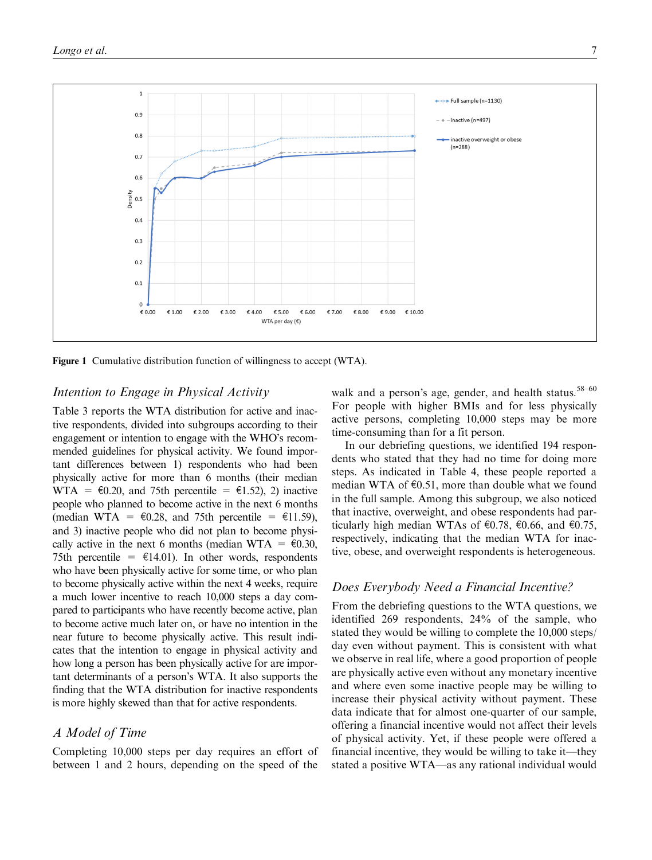

Figure 1 Cumulative distribution function of willingness to accept (WTA).

#### Intention to Engage in Physical Activity

Table 3 reports the WTA distribution for active and inactive respondents, divided into subgroups according to their engagement or intention to engage with the WHO's recommended guidelines for physical activity. We found important differences between 1) respondents who had been physically active for more than 6 months (their median WTA =  $\epsilon$ 0.20, and 75th percentile =  $\epsilon$ 1.52), 2) inactive people who planned to become active in the next 6 months (median WTA =  $\epsilon$ 0.28, and 75th percentile =  $\epsilon$ 11.59), and 3) inactive people who did not plan to become physically active in the next 6 months (median WTA =  $\epsilon$ 0.30, 75th percentile =  $\epsilon$ 14.01). In other words, respondents who have been physically active for some time, or who plan to become physically active within the next 4 weeks, require a much lower incentive to reach 10,000 steps a day compared to participants who have recently become active, plan to become active much later on, or have no intention in the near future to become physically active. This result indicates that the intention to engage in physical activity and how long a person has been physically active for are important determinants of a person's WTA. It also supports the finding that the WTA distribution for inactive respondents is more highly skewed than that for active respondents.

### A Model of Time

Completing 10,000 steps per day requires an effort of between 1 and 2 hours, depending on the speed of the

walk and a person's age, gender, and health status.<sup>58–60</sup> For people with higher BMIs and for less physically active persons, completing 10,000 steps may be more time-consuming than for a fit person.

In our debriefing questions, we identified 194 respondents who stated that they had no time for doing more steps. As indicated in Table 4, these people reported a median WTA of  $\epsilon$ 0.51, more than double what we found in the full sample. Among this subgroup, we also noticed that inactive, overweight, and obese respondents had particularly high median WTAs of  $\epsilon$ 0.78,  $\epsilon$ 0.66, and  $\epsilon$ 0.75, respectively, indicating that the median WTA for inactive, obese, and overweight respondents is heterogeneous.

#### Does Everybody Need a Financial Incentive?

From the debriefing questions to the WTA questions, we identified 269 respondents, 24% of the sample, who stated they would be willing to complete the 10,000 steps/ day even without payment. This is consistent with what we observe in real life, where a good proportion of people are physically active even without any monetary incentive and where even some inactive people may be willing to increase their physical activity without payment. These data indicate that for almost one-quarter of our sample, offering a financial incentive would not affect their levels of physical activity. Yet, if these people were offered a financial incentive, they would be willing to take it—they stated a positive WTA—as any rational individual would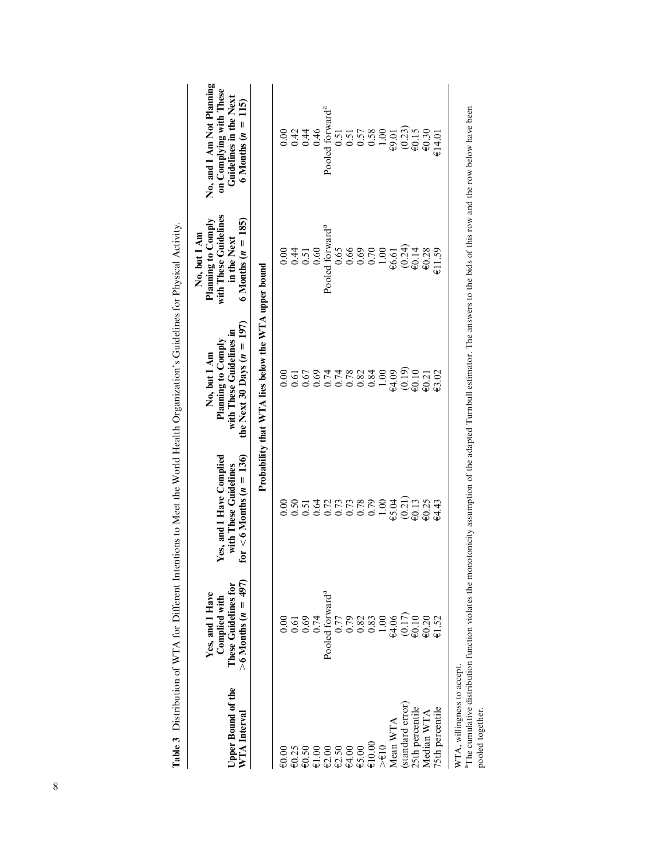| Upper Bound of the<br>WTA Interval                 | $>6$ Months ( $n = 497$ )<br>These Guidelines for<br>Yes, and I Have<br>Complied with       | for $< 6$ Months ( $n = 136$ )<br>Yes, and I Have Complied<br>with These Guidelines | the Next 30 Days $(n = 197)$<br>with These Guidelines in<br>Planning to Comply<br>No, but I Am | with These Guidelines<br>6 Months $(n = 185)$<br>Planning to Comply<br>No, but I Am<br>in the Next | No, and I Am Not Planning<br>on Complying with These<br>Guidelines in the Next<br>115<br>6 Months $(n =$ |
|----------------------------------------------------|---------------------------------------------------------------------------------------------|-------------------------------------------------------------------------------------|------------------------------------------------------------------------------------------------|----------------------------------------------------------------------------------------------------|----------------------------------------------------------------------------------------------------------|
|                                                    |                                                                                             |                                                                                     | Probability that WTA lies below the WTA upper bound                                            |                                                                                                    |                                                                                                          |
| $\epsilon_{0.00}$                                  | 0.00                                                                                        | 0.00                                                                                | 0.00                                                                                           | 0.00                                                                                               | 0.00                                                                                                     |
| $\epsilon$ 0.25                                    | $\begin{array}{c} 0.61 \\ 0.69 \end{array}$                                                 |                                                                                     |                                                                                                | 0.51                                                                                               | $0.42$<br>$0.44$                                                                                         |
| $\epsilon$ 0.50                                    |                                                                                             |                                                                                     | $0.61$<br>0.67                                                                                 |                                                                                                    |                                                                                                          |
| $\overline{\varepsilon}1.00$                       | 0.74                                                                                        |                                                                                     |                                                                                                | 0.60                                                                                               | 0.46                                                                                                     |
| $\textcolor{blue}{\epsilon\textcolor{blue}{2.00}}$ | Pooled forward <sup>a</sup>                                                                 | 0.50<br>0.51272<br>0.0.0.0.0.0<br>0.0.0.0.0                                         | $0.69$<br>0.74                                                                                 | Pooled forward <sup>a</sup>                                                                        | Pooled forward <sup>a</sup>                                                                              |
| E2.50                                              | 0.77                                                                                        |                                                                                     | 0.74                                                                                           | 0.65                                                                                               | 0.51                                                                                                     |
| $\textup{ } \in \hspace{-0.125mm} 4.00$            |                                                                                             |                                                                                     |                                                                                                |                                                                                                    | 0.51                                                                                                     |
| €5.00                                              |                                                                                             |                                                                                     |                                                                                                | $0.66$<br>$0.70$                                                                                   |                                                                                                          |
| €10.00                                             |                                                                                             |                                                                                     |                                                                                                |                                                                                                    |                                                                                                          |
| $>\epsilon$ 10                                     | $0.333000$<br>$0.333000$<br>$0.44$                                                          | 1.00                                                                                | $0.82$<br>$0.83$<br>$0.00$<br>$0.00$<br>$0.00$                                                 | $1.00$ $\oplus$ $6.61$                                                                             | $\begin{array}{c} 0.57 \\ 0.58 \\ -1.00 \\ \hline 0.01 \end{array}$                                      |
| Mean WTA                                           |                                                                                             | €5.04                                                                               |                                                                                                |                                                                                                    |                                                                                                          |
| (standard error)                                   | $\begin{array}{c} (0.17) \\ \text{\small e} \\ 0.10 \\ \text{\small e} \\ 0.20 \end{array}$ | (0.21)                                                                              | $\underset{\text{0.10}}{\underbrace{0.19}}$                                                    | $(0.24)$<br>$60.14$                                                                                | $(0.23)$<br>$60.15$                                                                                      |
|                                                    |                                                                                             |                                                                                     |                                                                                                |                                                                                                    |                                                                                                          |
| $\frac{\dot{2}5\text{th}$ percentile<br>Median WTA |                                                                                             | $\overline{60.13}$<br>$\overline{60.25}$                                            | $\epsilon$ 0.21                                                                                | €0.28                                                                                              | $\text{\large}60.30$                                                                                     |
| 75th percentile                                    | €1.52                                                                                       | €4.43                                                                               | €3.02                                                                                          | £1.59                                                                                              | €14.01                                                                                                   |
| WTA, willingness to accept.<br>i<br>R              | $\frac{1}{2}$ . $\frac{1}{2}$ . $\frac{1}{2}$                                               |                                                                                     |                                                                                                | $\frac{1}{2}$                                                                                      | $\ddot{\phantom{a}}$<br>l<br>F                                                                           |

Table 3 Distribution of WTA for Different Intentions to Meet the World Health Organization's Guidelines for Physical Activity. sical Activity á جَى o Guidelir  $\frac{1}{2}$ B  $at$  the World Health Or  $M_{\alpha}$  $\ddot{\cdot}$  $\frac{1}{1}$  $nt$  Inte  $f$  WTA for Diffe Table 3 Distribution

"The cumulative distribution function violates the monotonicity assumption of the adapted Turnbull estimator. The answers to the bids of this row and the row below have been<br>pooled together. aThe cumulative distribution function violates the monotonicity assumption of the adapted Turnbull estimator. The answers to the bids of this row and the row below have been pooled together.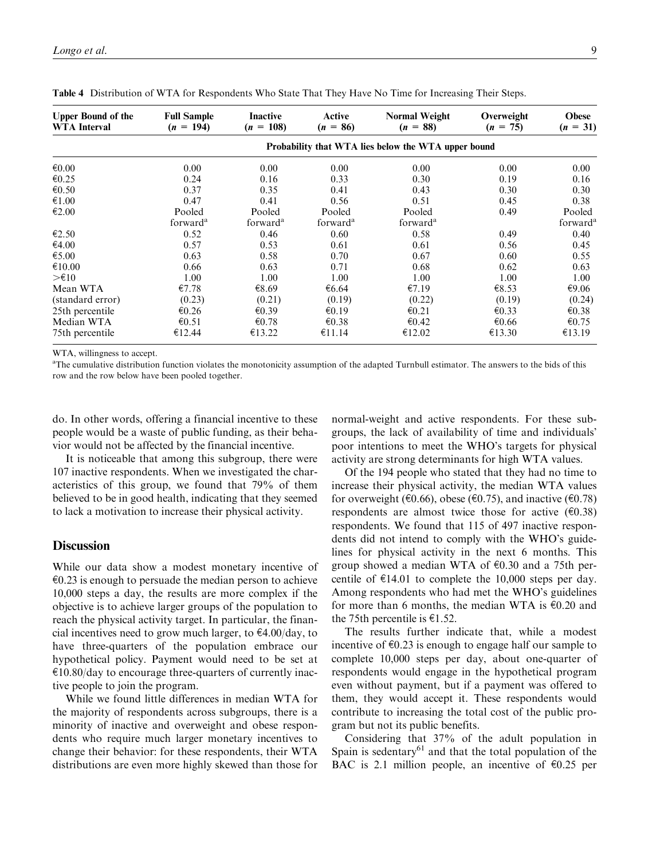| <b>Upper Bound of the</b><br><b>WTA Interval</b> | <b>Full Sample</b><br>$(n = 194)$ | <b>Inactive</b><br>$(n = 108)$ | Active<br>$(n = 86)$ | <b>Normal Weight</b><br>$(n = 88)$                  | Overweight<br>$(n = 75)$ | <b>Obese</b><br>$(n = 31)$ |
|--------------------------------------------------|-----------------------------------|--------------------------------|----------------------|-----------------------------------------------------|--------------------------|----------------------------|
|                                                  |                                   |                                |                      | Probability that WTA lies below the WTA upper bound |                          |                            |
| $\epsilon 0.00$                                  | 0.00                              | 0.00                           | 0.00                 | 0.00                                                | 0.00                     | 0.00                       |
| €0.25                                            | 0.24                              | 0.16                           | 0.33                 | 0.30                                                | 0.19                     | 0.16                       |
| € $0.50$                                         | 0.37                              | 0.35                           | 0.41                 | 0.43                                                | 0.30                     | 0.30                       |
| €1.00                                            | 0.47                              | 0.41                           | 0.56                 | 0.51                                                | 0.45                     | 0.38                       |
| €2.00                                            | Pooled                            | Pooled                         | Pooled               | Pooled                                              | 0.49                     | Pooled                     |
|                                                  | forward <sup>a</sup>              | forward <sup>a</sup>           | forward <sup>a</sup> | forward <sup>a</sup>                                |                          | forward <sup>a</sup>       |
| $\epsilon$ 2.50                                  | 0.52                              | 0.46                           | 0.60                 | 0.58                                                | 0.49                     | 0.40                       |
| €4.00                                            | 0.57                              | 0.53                           | 0.61                 | 0.61                                                | 0.56                     | 0.45                       |
| €5.00                                            | 0.63                              | 0.58                           | 0.70                 | 0.67                                                | 0.60                     | 0.55                       |
| €10.00                                           | 0.66                              | 0.63                           | 0.71                 | 0.68                                                | 0.62                     | 0.63                       |
| $>\epsilon$ 10                                   | 1.00                              | 1.00                           | 1.00                 | 1.00                                                | 1.00                     | 1.00                       |
| Mean WTA                                         | €7.78                             | €8.69                          | €6.64                | €7.19                                               | €8.53                    | €9.06                      |
| (standard error)                                 | (0.23)                            | (0.21)                         | (0.19)               | (0.22)                                              | (0.19)                   | (0.24)                     |
| 25th percentile                                  | €0.26                             | € $0.39$                       | €0.19                | $\epsilon$ 0.21                                     | $\epsilon$ 0.33          | €0.38                      |
| Median WTA                                       | € $0.51$                          | € $0.78$                       | $\epsilon$ 0.38      | €0.42                                               | €0.66                    | € $0.75$                   |
| 75th percentile                                  | €12.44                            | €13.22                         | €11.14               | €12.02                                              | €13.30                   | €13.19                     |

Table 4 Distribution of WTA for Respondents Who State That They Have No Time for Increasing Their Steps.

WTA, willingness to accept.

<sup>a</sup>The cumulative distribution function violates the monotonicity assumption of the adapted Turnbull estimator. The answers to the bids of this row and the row below have been pooled together.

do. In other words, offering a financial incentive to these people would be a waste of public funding, as their behavior would not be affected by the financial incentive.

It is noticeable that among this subgroup, there were 107 inactive respondents. When we investigated the characteristics of this group, we found that 79% of them believed to be in good health, indicating that they seemed to lack a motivation to increase their physical activity.

#### **Discussion**

While our data show a modest monetary incentive of  $\epsilon$ 0.23 is enough to persuade the median person to achieve 10,000 steps a day, the results are more complex if the objective is to achieve larger groups of the population to reach the physical activity target. In particular, the financial incentives need to grow much larger, to  $\epsilon$ 4.00/day, to have three-quarters of the population embrace our hypothetical policy. Payment would need to be set at  $\epsilon$ 10.80/day to encourage three-quarters of currently inactive people to join the program.

While we found little differences in median WTA for the majority of respondents across subgroups, there is a minority of inactive and overweight and obese respondents who require much larger monetary incentives to change their behavior: for these respondents, their WTA distributions are even more highly skewed than those for

normal-weight and active respondents. For these subgroups, the lack of availability of time and individuals' poor intentions to meet the WHO's targets for physical activity are strong determinants for high WTA values.

Of the 194 people who stated that they had no time to increase their physical activity, the median WTA values for overweight ( $\epsilon$ 0.66), obese ( $\epsilon$ 0.75), and inactive ( $\epsilon$ 0.78) respondents are almost twice those for active  $(60.38)$ respondents. We found that 115 of 497 inactive respondents did not intend to comply with the WHO's guidelines for physical activity in the next 6 months. This group showed a median WTA of  $\epsilon$ 0.30 and a 75th percentile of  $\epsilon$ 14.01 to complete the 10,000 steps per day. Among respondents who had met the WHO's guidelines for more than 6 months, the median WTA is  $\epsilon$ 0.20 and the 75th percentile is  $\epsilon$ 1.52.

The results further indicate that, while a modest incentive of  $\epsilon$ 0.23 is enough to engage half our sample to complete 10,000 steps per day, about one-quarter of respondents would engage in the hypothetical program even without payment, but if a payment was offered to them, they would accept it. These respondents would contribute to increasing the total cost of the public program but not its public benefits.

Considering that 37% of the adult population in Spain is sedentary $61$  and that the total population of the BAC is 2.1 million people, an incentive of  $\epsilon$ 0.25 per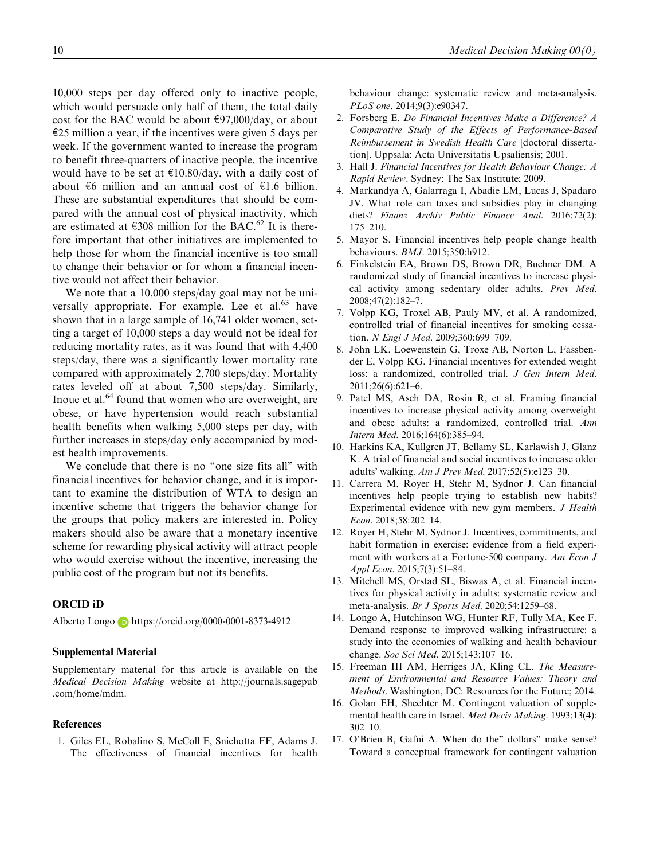10,000 steps per day offered only to inactive people, which would persuade only half of them, the total daily cost for the BAC would be about  $\epsilon$ 97,000/day, or about  $E$ 25 million a year, if the incentives were given 5 days per week. If the government wanted to increase the program to benefit three-quarters of inactive people, the incentive would have to be set at  $\text{\textsterling}10.80/\text{day}$ , with a daily cost of about  $\epsilon$ 6 million and an annual cost of  $\epsilon$ 1.6 billion. These are substantial expenditures that should be compared with the annual cost of physical inactivity, which are estimated at  $\epsilon$ 308 million for the BAC.<sup>62</sup> It is therefore important that other initiatives are implemented to help those for whom the financial incentive is too small to change their behavior or for whom a financial incentive would not affect their behavior.

We note that a 10,000 steps/day goal may not be universally appropriate. For example, Lee et al. $63$  have shown that in a large sample of 16,741 older women, setting a target of 10,000 steps a day would not be ideal for reducing mortality rates, as it was found that with 4,400 steps/day, there was a significantly lower mortality rate compared with approximately 2,700 steps/day. Mortality rates leveled off at about 7,500 steps/day. Similarly, Inoue et al.<sup>64</sup> found that women who are overweight, are obese, or have hypertension would reach substantial health benefits when walking 5,000 steps per day, with further increases in steps/day only accompanied by modest health improvements.

We conclude that there is no "one size fits all" with financial incentives for behavior change, and it is important to examine the distribution of WTA to design an incentive scheme that triggers the behavior change for the groups that policy makers are interested in. Policy makers should also be aware that a monetary incentive scheme for rewarding physical activity will attract people who would exercise without the incentive, increasing the public cost of the program but not its benefits.

#### ORCID iD

Alberto Longo <https://orcid.org/0000-0001-8373-4912>

#### Supplemental Material

Supplementary material for this article is available on the Medical Decision Making website at [http://journals.sagepub](http://journals.sagepub.com/home/mdm) [.com/home/mdm](http://journals.sagepub.com/home/mdm).

#### References

1. Giles EL, Robalino S, McColl E, Sniehotta FF, Adams J. The effectiveness of financial incentives for health behaviour change: systematic review and meta-analysis. PLoS one. 2014;9(3):e90347.

- 2. Forsberg E. Do Financial Incentives Make a Difference? A Comparative Study of the Effects of Performance-Based Reimbursement in Swedish Health Care [doctoral dissertation]. Uppsala: Acta Universitatis Upsaliensis; 2001.
- 3. Hall J. Financial Incentives for Health Behaviour Change: A Rapid Review. Sydney: The Sax Institute; 2009.
- 4. Markandya A, Galarraga I, Abadie LM, Lucas J, Spadaro JV. What role can taxes and subsidies play in changing diets? Finanz Archiv Public Finance Anal. 2016;72(2): 175–210.
- 5. Mayor S. Financial incentives help people change health behaviours. BMJ. 2015;350:h912.
- 6. Finkelstein EA, Brown DS, Brown DR, Buchner DM. A randomized study of financial incentives to increase physical activity among sedentary older adults. Prev Med. 2008;47(2):182–7.
- 7. Volpp KG, Troxel AB, Pauly MV, et al. A randomized, controlled trial of financial incentives for smoking cessation. N Engl J Med. 2009;360:699-709.
- 8. John LK, Loewenstein G, Troxe AB, Norton L, Fassbender E, Volpp KG. Financial incentives for extended weight loss: a randomized, controlled trial. J Gen Intern Med. 2011;26(6):621–6.
- 9. Patel MS, Asch DA, Rosin R, et al. Framing financial incentives to increase physical activity among overweight and obese adults: a randomized, controlled trial. Ann Intern Med. 2016;164(6):385–94.
- 10. Harkins KA, Kullgren JT, Bellamy SL, Karlawish J, Glanz K. A trial of financial and social incentives to increase older adults' walking. Am J Prev Med. 2017;52(5):e123–30.
- 11. Carrera M, Royer H, Stehr M, Sydnor J. Can financial incentives help people trying to establish new habits? Experimental evidence with new gym members. J Health Econ. 2018;58:202–14.
- 12. Royer H, Stehr M, Sydnor J. Incentives, commitments, and habit formation in exercise: evidence from a field experiment with workers at a Fortune-500 company. Am Econ J Appl Econ. 2015;7(3):51–84.
- 13. Mitchell MS, Orstad SL, Biswas A, et al. Financial incentives for physical activity in adults: systematic review and meta-analysis. Br J Sports Med. 2020;54:1259–68.
- 14. Longo A, Hutchinson WG, Hunter RF, Tully MA, Kee F. Demand response to improved walking infrastructure: a study into the economics of walking and health behaviour change. Soc Sci Med. 2015;143:107–16.
- 15. Freeman III AM, Herriges JA, Kling CL. The Measurement of Environmental and Resource Values: Theory and Methods. Washington, DC: Resources for the Future; 2014.
- 16. Golan EH, Shechter M. Contingent valuation of supplemental health care in Israel. Med Decis Making. 1993;13(4): 302–10.
- 17. O'Brien B, Gafni A. When do the'' dollars'' make sense? Toward a conceptual framework for contingent valuation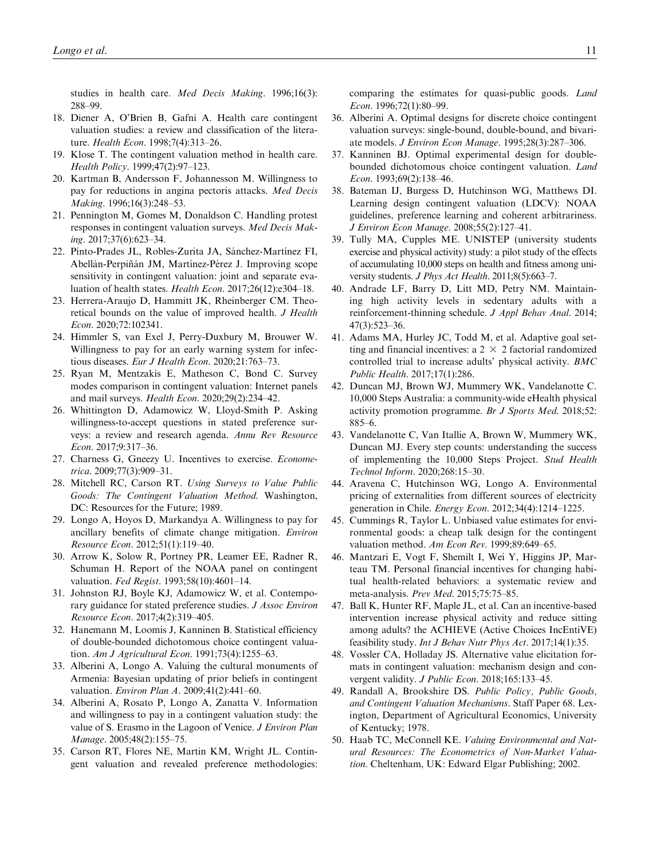studies in health care. Med Decis Making. 1996;16(3): 288–99.

- 18. Diener A, O'Brien B, Gafni A. Health care contingent valuation studies: a review and classification of the literature. Health Econ. 1998;7(4):313–26.
- 19. Klose T. The contingent valuation method in health care. Health Policy. 1999;47(2):97–123.
- 20. Kartman B, Andersson F, Johannesson M. Willingness to pay for reductions in angina pectoris attacks. Med Decis Making. 1996;16(3):248–53.
- 21. Pennington M, Gomes M, Donaldson C. Handling protest responses in contingent valuation surveys. Med Decis Making. 2017;37(6):623–34.
- 22. Pinto-Prades JL, Robles-Zurita JA, Sánchez-Martínez FI, Abellán-Perpiñán JM, Martínez-Pérez J. Improving scope sensitivity in contingent valuation: joint and separate evaluation of health states. Health Econ. 2017;26(12):e304–18.
- 23. Herrera-Araujo D, Hammitt JK, Rheinberger CM. Theoretical bounds on the value of improved health. J Health Econ. 2020;72:102341.
- 24. Himmler S, van Exel J, Perry-Duxbury M, Brouwer W. Willingness to pay for an early warning system for infectious diseases. Eur J Health Econ. 2020;21:763–73.
- 25. Ryan M, Mentzakis E, Matheson C, Bond C. Survey modes comparison in contingent valuation: Internet panels and mail surveys. Health Econ. 2020;29(2):234–42.
- 26. Whittington D, Adamowicz W, Lloyd-Smith P. Asking willingness-to-accept questions in stated preference surveys: a review and research agenda. Annu Rev Resource Econ. 2017;9:317–36.
- 27. Charness G, Gneezy U. Incentives to exercise. Econometrica. 2009;77(3):909–31.
- 28. Mitchell RC, Carson RT. Using Surveys to Value Public Goods: The Contingent Valuation Method. Washington, DC: Resources for the Future: 1989.
- 29. Longo A, Hoyos D, Markandya A. Willingness to pay for ancillary benefits of climate change mitigation. Environ Resource Econ. 2012;51(1):119–40.
- 30. Arrow K, Solow R, Portney PR, Leamer EE, Radner R, Schuman H. Report of the NOAA panel on contingent valuation. Fed Regist. 1993;58(10):4601-14.
- 31. Johnston RJ, Boyle KJ, Adamowicz W, et al. Contemporary guidance for stated preference studies. J Assoc Environ Resource Econ. 2017;4(2):319–405.
- 32. Hanemann M, Loomis J, Kanninen B. Statistical efficiency of double-bounded dichotomous choice contingent valuation. Am J Agricultural Econ. 1991;73(4):1255-63.
- 33. Alberini A, Longo A. Valuing the cultural monuments of Armenia: Bayesian updating of prior beliefs in contingent valuation. Environ Plan A. 2009;41(2):441–60.
- 34. Alberini A, Rosato P, Longo A, Zanatta V. Information and willingness to pay in a contingent valuation study: the value of S. Erasmo in the Lagoon of Venice. J Environ Plan Manage. 2005;48(2):155–75.
- 35. Carson RT, Flores NE, Martin KM, Wright JL. Contingent valuation and revealed preference methodologies:

comparing the estimates for quasi-public goods. Land Econ. 1996;72(1):80–99.

- 36. Alberini A. Optimal designs for discrete choice contingent valuation surveys: single-bound, double-bound, and bivariate models. J Environ Econ Manage. 1995;28(3):287–306.
- 37. Kanninen BJ. Optimal experimental design for doublebounded dichotomous choice contingent valuation. Land Econ. 1993;69(2):138–46.
- 38. Bateman IJ, Burgess D, Hutchinson WG, Matthews DI. Learning design contingent valuation (LDCV): NOAA guidelines, preference learning and coherent arbitrariness. J Environ Econ Manage. 2008;55(2):127–41.
- 39. Tully MA, Cupples ME. UNISTEP (university students exercise and physical activity) study: a pilot study of the effects of accumulating 10,000 steps on health and fitness among university students. J Phys Act Health. 2011;8(5):663-7.
- 40. Andrade LF, Barry D, Litt MD, Petry NM. Maintaining high activity levels in sedentary adults with a reinforcement-thinning schedule. J Appl Behav Anal. 2014; 47(3):523–36.
- 41. Adams MA, Hurley JC, Todd M, et al. Adaptive goal setting and financial incentives: a  $2 \times 2$  factorial randomized controlled trial to increase adults' physical activity. BMC Public Health. 2017;17(1):286.
- 42. Duncan MJ, Brown WJ, Mummery WK, Vandelanotte C. 10,000 Steps Australia: a community-wide eHealth physical activity promotion programme. Br J Sports Med. 2018;52: 885–6.
- 43. Vandelanotte C, Van Itallie A, Brown W, Mummery WK, Duncan MJ. Every step counts: understanding the success of implementing the 10,000 Steps Project. Stud Health Technol Inform. 2020;268:15–30.
- 44. Aravena C, Hutchinson WG, Longo A. Environmental pricing of externalities from different sources of electricity generation in Chile. Energy Econ. 2012;34(4):1214–1225.
- 45. Cummings R, Taylor L. Unbiased value estimates for environmental goods: a cheap talk design for the contingent valuation method. Am Econ Rev. 1999;89:649-65.
- 46. Mantzari E, Vogt F, Shemilt I, Wei Y, Higgins JP, Marteau TM. Personal financial incentives for changing habitual health-related behaviors: a systematic review and meta-analysis. Prev Med. 2015;75:75–85.
- 47. Ball K, Hunter RF, Maple JL, et al. Can an incentive-based intervention increase physical activity and reduce sitting among adults? the ACHIEVE (Active Choices IncEntiVE) feasibility study. Int J Behav Nutr Phys Act. 2017;14(1):35.
- 48. Vossler CA, Holladay JS. Alternative value elicitation formats in contingent valuation: mechanism design and convergent validity. J Public Econ. 2018;165:133-45.
- 49. Randall A, Brookshire DS. Public Policy, Public Goods, and Contingent Valuation Mechanisms. Staff Paper 68. Lexington, Department of Agricultural Economics, University of Kentucky; 1978.
- 50. Haab TC, McConnell KE. Valuing Environmental and Natural Resources: The Econometrics of Non-Market Valuation. Cheltenham, UK: Edward Elgar Publishing; 2002.